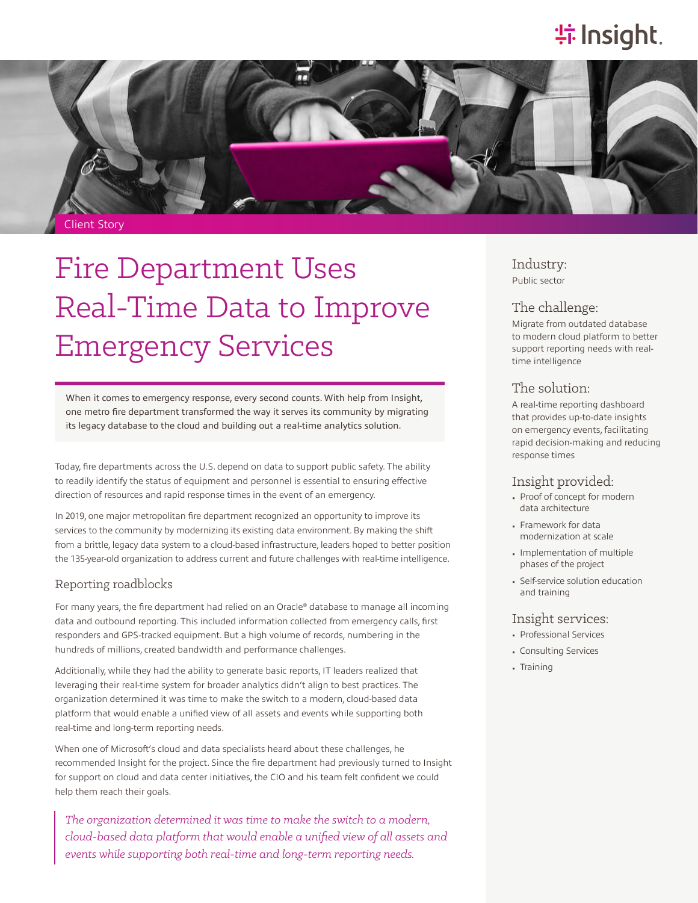## **特Insight**.



# Fire Department Uses Real-Time Data to Improve Emergency Services

When it comes to emergency response, every second counts. With help from Insight, one metro fire department transformed the way it serves its community by migrating its legacy database to the cloud and building out a real-time analytics solution.

Today, fire departments across the U.S. depend on data to support public safety. The ability to readily identify the status of equipment and personnel is essential to ensuring effective direction of resources and rapid response times in the event of an emergency.

In 2019, one major metropolitan fire department recognized an opportunity to improve its services to the community by modernizing its existing data environment. By making the shift from a brittle, legacy data system to a cloud-based infrastructure, leaders hoped to better position the 135-year-old organization to address current and future challenges with real-time intelligence.

#### Reporting roadblocks

For many years, the fire department had relied on an Oracle® database to manage all incoming data and outbound reporting. This included information collected from emergency calls, first responders and GPS-tracked equipment. But a high volume of records, numbering in the hundreds of millions, created bandwidth and performance challenges.

Additionally, while they had the ability to generate basic reports, IT leaders realized that leveraging their real-time system for broader analytics didn't align to best practices. The organization determined it was time to make the switch to a modern, cloud-based data platform that would enable a unified view of all assets and events while supporting both real-time and long-term reporting needs.

When one of Microsoft's cloud and data specialists heard about these challenges, he recommended Insight for the project. Since the fire department had previously turned to Insight for support on cloud and data center initiatives, the CIO and his team felt confident we could help them reach their goals.

*The organization determined it was time to make the switch to a modern, cloud-based data platform that would enable a unified view of all assets and events while supporting both real-time and long-term reporting needs.*

Industry: Public sector

#### The challenge:

Migrate from outdated database to modern cloud platform to better support reporting needs with realtime intelligence

### The solution:

A real-time reporting dashboard that provides up-to-date insights on emergency events, facilitating rapid decision-making and reducing response times

## Insight provided:

- Proof of concept for modern data architecture
- Framework for data modernization at scale
- Implementation of multiple phases of the project
- Self-service solution education and training

#### Insight services:

- Professional Services
- Consulting Services
- Training